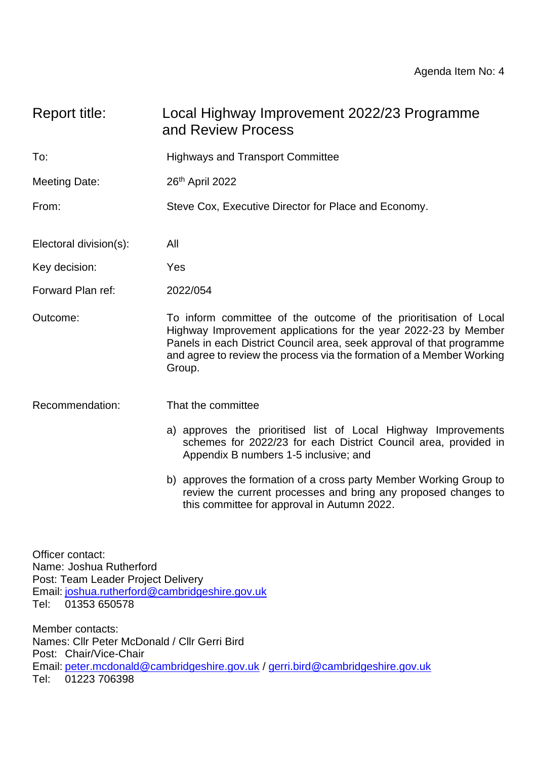| Report title:          | Local Highway Improvement 2022/23 Programme<br>and Review Process                                                                                                                                                                                                                                |  |  |
|------------------------|--------------------------------------------------------------------------------------------------------------------------------------------------------------------------------------------------------------------------------------------------------------------------------------------------|--|--|
| To:                    | <b>Highways and Transport Committee</b>                                                                                                                                                                                                                                                          |  |  |
| Meeting Date:          | 26 <sup>th</sup> April 2022                                                                                                                                                                                                                                                                      |  |  |
| From:                  | Steve Cox, Executive Director for Place and Economy.                                                                                                                                                                                                                                             |  |  |
| Electoral division(s): | All                                                                                                                                                                                                                                                                                              |  |  |
| Key decision:          | Yes                                                                                                                                                                                                                                                                                              |  |  |
| Forward Plan ref:      | 2022/054                                                                                                                                                                                                                                                                                         |  |  |
| Outcome:               | To inform committee of the outcome of the prioritisation of Local<br>Highway Improvement applications for the year 2022-23 by Member<br>Panels in each District Council area, seek approval of that programme<br>and agree to review the process via the formation of a Member Working<br>Group. |  |  |
| Recommendation:        | That the committee<br>a) approves the prioritised list of Local Highway Improvements<br>schemes for 2022/23 for each District Council area, provided in<br>Appendix B numbers 1-5 inclusive; and                                                                                                 |  |  |

b) approves the formation of a cross party Member Working Group to review the current processes and bring any proposed changes to this committee for approval in Autumn 2022.

Officer contact: Name: Joshua Rutherford Post: Team Leader Project Delivery Email: [joshua.rutherford@cambridgeshire.gov.uk](mailto:joshua.rutherford@cambridgeshire.gov.uk) Tel: 01353 650578

Member contacts: Names: Cllr Peter McDonald / Cllr Gerri Bird Post: Chair/Vice-Chair Email: [peter.mcdonald@cambridgeshire.gov.uk](mailto:peter.mcdonald@cambridgeshire.gov.uk) / [gerri.bird@cambridgeshire.gov.uk](mailto:gerri.bird@cambridgeshire.gov.uk) Tel: 01223 706398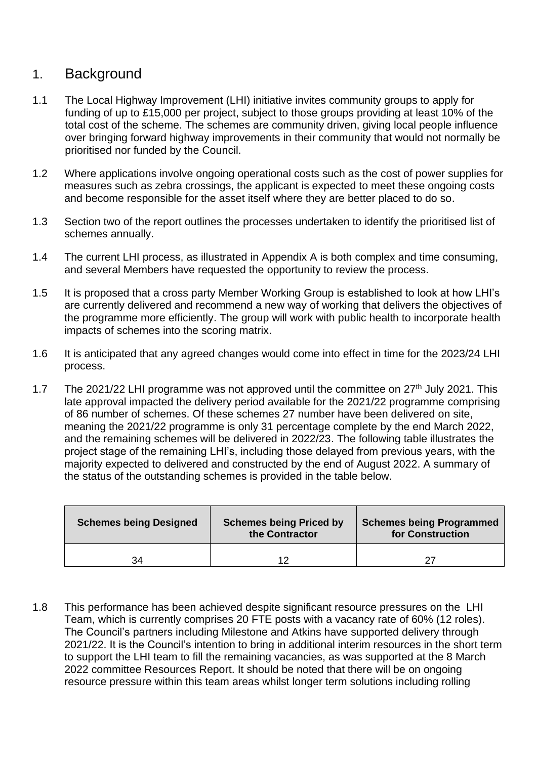### 1. Background

- 1.1 The Local Highway Improvement (LHI) initiative invites community groups to apply for funding of up to £15,000 per project, subject to those groups providing at least 10% of the total cost of the scheme. The schemes are community driven, giving local people influence over bringing forward highway improvements in their community that would not normally be prioritised nor funded by the Council.
- 1.2 Where applications involve ongoing operational costs such as the cost of power supplies for measures such as zebra crossings, the applicant is expected to meet these ongoing costs and become responsible for the asset itself where they are better placed to do so.
- 1.3 Section two of the report outlines the processes undertaken to identify the prioritised list of schemes annually.
- 1.4 The current LHI process, as illustrated in Appendix A is both complex and time consuming, and several Members have requested the opportunity to review the process.
- 1.5 It is proposed that a cross party Member Working Group is established to look at how LHI's are currently delivered and recommend a new way of working that delivers the objectives of the programme more efficiently. The group will work with public health to incorporate health impacts of schemes into the scoring matrix.
- 1.6 It is anticipated that any agreed changes would come into effect in time for the 2023/24 LHI process.
- 1.7 The 2021/22 LHI programme was not approved until the committee on 27<sup>th</sup> July 2021. This late approval impacted the delivery period available for the 2021/22 programme comprising of 86 number of schemes. Of these schemes 27 number have been delivered on site, meaning the 2021/22 programme is only 31 percentage complete by the end March 2022, and the remaining schemes will be delivered in 2022/23. The following table illustrates the project stage of the remaining LHI's, including those delayed from previous years, with the majority expected to delivered and constructed by the end of August 2022. A summary of the status of the outstanding schemes is provided in the table below.

| <b>Schemes being Designed</b> | <b>Schemes being Priced by</b><br>the Contractor | <b>Schemes being Programmed</b><br>for Construction |
|-------------------------------|--------------------------------------------------|-----------------------------------------------------|
| 34                            |                                                  | 27                                                  |

1.8 This performance has been achieved despite significant resource pressures on the LHI Team, which is currently comprises 20 FTE posts with a vacancy rate of 60% (12 roles). The Council's partners including Milestone and Atkins have supported delivery through 2021/22. It is the Council's intention to bring in additional interim resources in the short term to support the LHI team to fill the remaining vacancies, as was supported at the 8 March 2022 committee Resources Report. It should be noted that there will be on ongoing resource pressure within this team areas whilst longer term solutions including rolling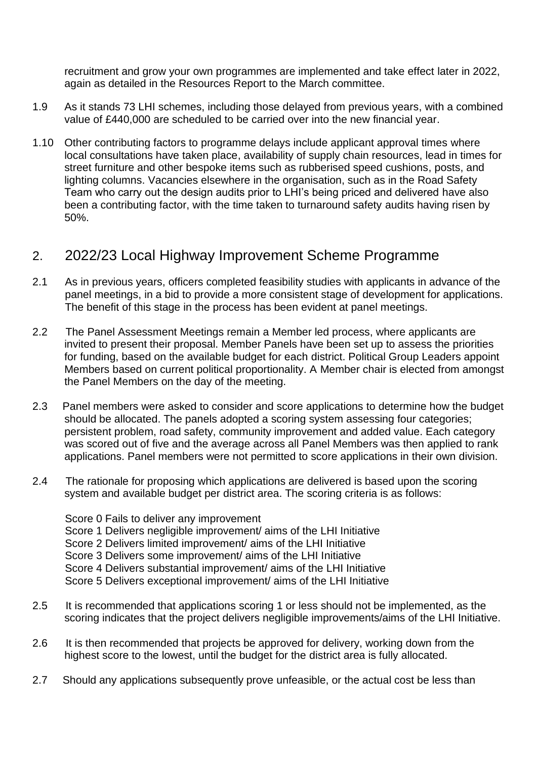recruitment and grow your own programmes are implemented and take effect later in 2022, again as detailed in the Resources Report to the March committee.

- 1.9 As it stands 73 LHI schemes, including those delayed from previous years, with a combined value of £440,000 are scheduled to be carried over into the new financial year.
- 1.10 Other contributing factors to programme delays include applicant approval times where local consultations have taken place, availability of supply chain resources, lead in times for street furniture and other bespoke items such as rubberised speed cushions, posts, and lighting columns. Vacancies elsewhere in the organisation, such as in the Road Safety Team who carry out the design audits prior to LHI's being priced and delivered have also been a contributing factor, with the time taken to turnaround safety audits having risen by 50%.

## 2. 2022/23 Local Highway Improvement Scheme Programme

- 2.1 As in previous years, officers completed feasibility studies with applicants in advance of the panel meetings, in a bid to provide a more consistent stage of development for applications. The benefit of this stage in the process has been evident at panel meetings.
- 2.2 The Panel Assessment Meetings remain a Member led process, where applicants are invited to present their proposal. Member Panels have been set up to assess the priorities for funding, based on the available budget for each district. Political Group Leaders appoint Members based on current political proportionality. A Member chair is elected from amongst the Panel Members on the day of the meeting.
- 2.3 Panel members were asked to consider and score applications to determine how the budget should be allocated. The panels adopted a scoring system assessing four categories; persistent problem, road safety, community improvement and added value. Each category was scored out of five and the average across all Panel Members was then applied to rank applications. Panel members were not permitted to score applications in their own division.
- 2.4 The rationale for proposing which applications are delivered is based upon the scoring system and available budget per district area. The scoring criteria is as follows:

Score 0 Fails to deliver any improvement Score 1 Delivers negligible improvement/ aims of the LHI Initiative Score 2 Delivers limited improvement/ aims of the LHI Initiative Score 3 Delivers some improvement/ aims of the LHI Initiative Score 4 Delivers substantial improvement/ aims of the LHI Initiative Score 5 Delivers exceptional improvement/ aims of the LHI Initiative

- 2.5 It is recommended that applications scoring 1 or less should not be implemented, as the scoring indicates that the project delivers negligible improvements/aims of the LHI Initiative.
- 2.6 It is then recommended that projects be approved for delivery, working down from the highest score to the lowest, until the budget for the district area is fully allocated.
- 2.7 Should any applications subsequently prove unfeasible, or the actual cost be less than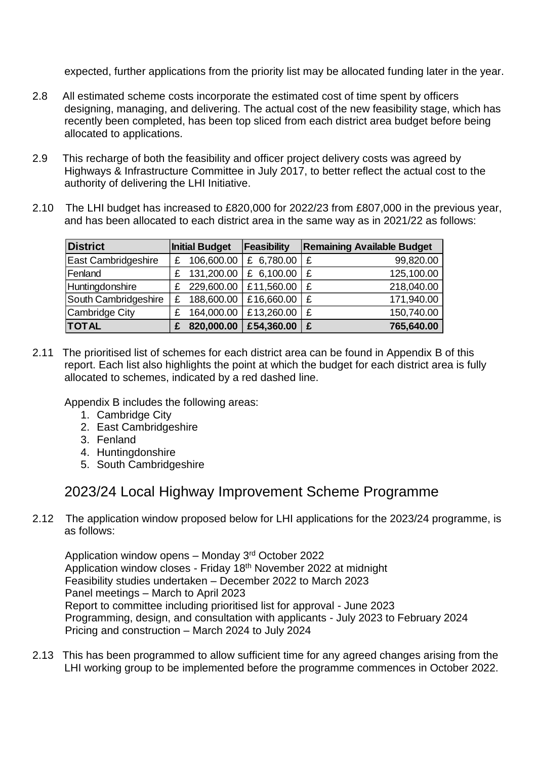expected, further applications from the priority list may be allocated funding later in the year.

- 2.8 All estimated scheme costs incorporate the estimated cost of time spent by officers designing, managing, and delivering. The actual cost of the new feasibility stage, which has recently been completed, has been top sliced from each district area budget before being allocated to applications.
- 2.9 This recharge of both the feasibility and officer project delivery costs was agreed by Highways & Infrastructure Committee in July 2017, to better reflect the actual cost to the authority of delivering the LHI Initiative.
- 2.10 The LHI budget has increased to £820,000 for 2022/23 from £807,000 in the previous year, and has been allocated to each district area in the same way as in 2021/22 as follows:

| <b>District</b>            | <b>Initial Budget</b> |            | Feasibility | <b>Remaining Available Budget</b> |            |
|----------------------------|-----------------------|------------|-------------|-----------------------------------|------------|
| <b>East Cambridgeshire</b> | £.                    | 106,600.00 | £ 6,780.00  | £                                 | 99,820.00  |
| Fenland                    | £                     | 131,200.00 | £ 6,100.00  | £                                 | 125,100.00 |
| Huntingdonshire            | £.                    | 229,600.00 | £11,560.00  | £                                 | 218,040.00 |
| South Cambridgeshire       | £.                    | 188,600.00 | £16,660.00  | £                                 | 171,940.00 |
| Cambridge City             | £                     | 164,000.00 | £13,260.00  | £                                 | 150,740.00 |
| <b>TOTAL</b>               | £                     | 820,000.00 | £54,360.00  | £                                 | 765,640.00 |

2.11 The prioritised list of schemes for each district area can be found in Appendix B of this report. Each list also highlights the point at which the budget for each district area is fully allocated to schemes, indicated by a red dashed line.

Appendix B includes the following areas:

- 1. Cambridge City
- 2. East Cambridgeshire
- 3. Fenland
- 4. Huntingdonshire
- 5. South Cambridgeshire

# 2023/24 Local Highway Improvement Scheme Programme

2.12 The application window proposed below for LHI applications for the 2023/24 programme, is as follows:

Application window opens - Monday 3<sup>rd</sup> October 2022 Application window closes - Friday 18<sup>th</sup> November 2022 at midnight Feasibility studies undertaken – December 2022 to March 2023 Panel meetings – March to April 2023 Report to committee including prioritised list for approval - June 2023 Programming, design, and consultation with applicants - July 2023 to February 2024 Pricing and construction – March 2024 to July 2024

2.13 This has been programmed to allow sufficient time for any agreed changes arising from the LHI working group to be implemented before the programme commences in October 2022.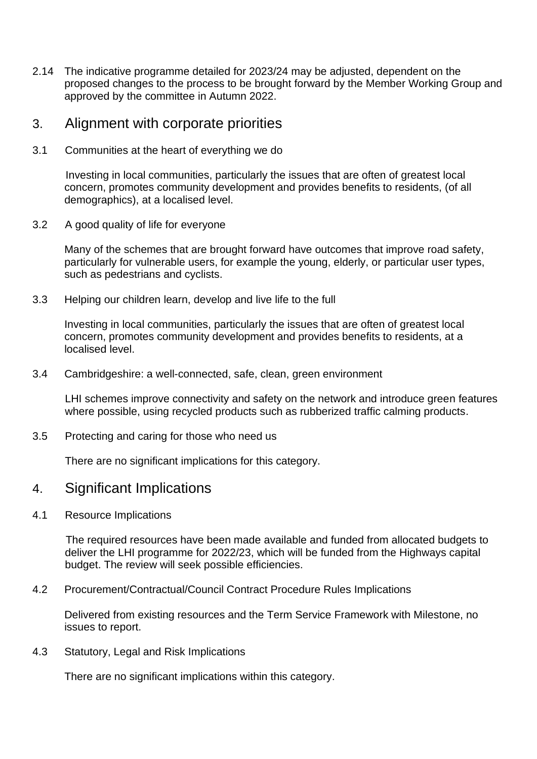2.14 The indicative programme detailed for 2023/24 may be adjusted, dependent on the proposed changes to the process to be brought forward by the Member Working Group and approved by the committee in Autumn 2022.

#### 3. Alignment with corporate priorities

3.1 Communities at the heart of everything we do

 Investing in local communities, particularly the issues that are often of greatest local concern, promotes community development and provides benefits to residents, (of all demographics), at a localised level.

3.2 A good quality of life for everyone

Many of the schemes that are brought forward have outcomes that improve road safety, particularly for vulnerable users, for example the young, elderly, or particular user types, such as pedestrians and cyclists.

3.3 Helping our children learn, develop and live life to the full

Investing in local communities, particularly the issues that are often of greatest local concern, promotes community development and provides benefits to residents, at a localised level.

3.4 Cambridgeshire: a well-connected, safe, clean, green environment

LHI schemes improve connectivity and safety on the network and introduce green features where possible, using recycled products such as rubberized traffic calming products.

3.5 Protecting and caring for those who need us

There are no significant implications for this category.

- 4. Significant Implications
- 4.1 Resource Implications

 The required resources have been made available and funded from allocated budgets to deliver the LHI programme for 2022/23, which will be funded from the Highways capital budget. The review will seek possible efficiencies.

4.2 Procurement/Contractual/Council Contract Procedure Rules Implications

Delivered from existing resources and the Term Service Framework with Milestone, no issues to report.

4.3 Statutory, Legal and Risk Implications

There are no significant implications within this category.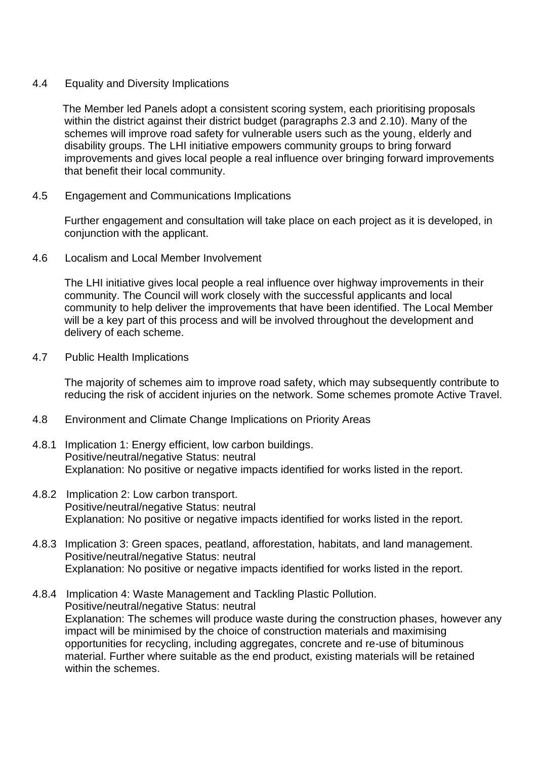#### 4.4 Equality and Diversity Implications

 The Member led Panels adopt a consistent scoring system, each prioritising proposals within the district against their district budget (paragraphs 2.3 and 2.10). Many of the schemes will improve road safety for vulnerable users such as the young, elderly and disability groups. The LHI initiative empowers community groups to bring forward improvements and gives local people a real influence over bringing forward improvements that benefit their local community.

4.5 Engagement and Communications Implications

Further engagement and consultation will take place on each project as it is developed, in conjunction with the applicant.

4.6 Localism and Local Member Involvement

The LHI initiative gives local people a real influence over highway improvements in their community. The Council will work closely with the successful applicants and local community to help deliver the improvements that have been identified. The Local Member will be a key part of this process and will be involved throughout the development and delivery of each scheme.

4.7 Public Health Implications

The majority of schemes aim to improve road safety, which may subsequently contribute to reducing the risk of accident injuries on the network. Some schemes promote Active Travel.

- 4.8 Environment and Climate Change Implications on Priority Areas
- 4.8.1 Implication 1: Energy efficient, low carbon buildings. Positive/neutral/negative Status: neutral Explanation: No positive or negative impacts identified for works listed in the report.
- 4.8.2 Implication 2: Low carbon transport. Positive/neutral/negative Status: neutral Explanation: No positive or negative impacts identified for works listed in the report.
- 4.8.3 Implication 3: Green spaces, peatland, afforestation, habitats, and land management. Positive/neutral/negative Status: neutral Explanation: No positive or negative impacts identified for works listed in the report.
- 4.8.4 Implication 4: Waste Management and Tackling Plastic Pollution. Positive/neutral/negative Status: neutral Explanation: The schemes will produce waste during the construction phases, however any impact will be minimised by the choice of construction materials and maximising opportunities for recycling, including aggregates, concrete and re-use of bituminous material. Further where suitable as the end product, existing materials will be retained within the schemes.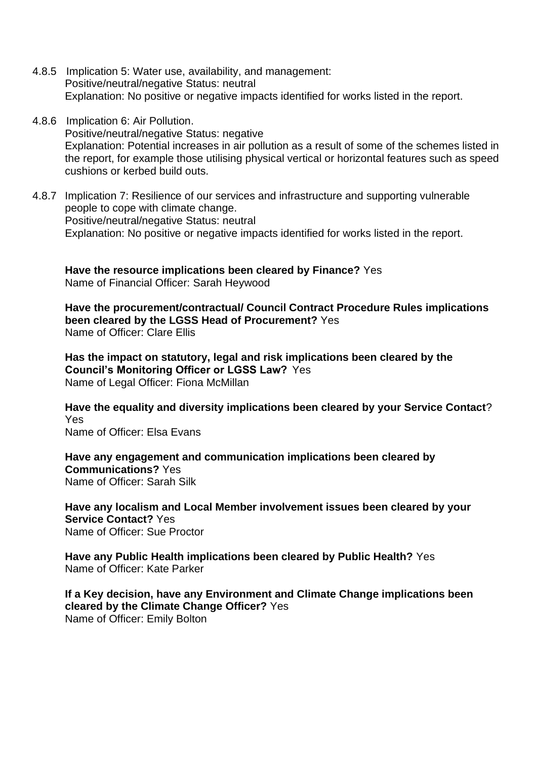- 4.8.5 Implication 5: Water use, availability, and management: Positive/neutral/negative Status: neutral Explanation: No positive or negative impacts identified for works listed in the report.
- 4.8.6 Implication 6: Air Pollution. Positive/neutral/negative Status: negative Explanation: Potential increases in air pollution as a result of some of the schemes listed in the report, for example those utilising physical vertical or horizontal features such as speed cushions or kerbed build outs.
- 4.8.7 Implication 7: Resilience of our services and infrastructure and supporting vulnerable people to cope with climate change. Positive/neutral/negative Status: neutral Explanation: No positive or negative impacts identified for works listed in the report.

**Have the resource implications been cleared by Finance?** Yes Name of Financial Officer: Sarah Heywood

**Have the procurement/contractual/ Council Contract Procedure Rules implications been cleared by the LGSS Head of Procurement?** Yes Name of Officer: Clare Ellis

**Has the impact on statutory, legal and risk implications been cleared by the Council's Monitoring Officer or LGSS Law?** Yes Name of Legal Officer: Fiona McMillan

**Have the equality and diversity implications been cleared by your Service Contact**? Yes Name of Officer: Elsa Evans

**Have any engagement and communication implications been cleared by Communications?** Yes Name of Officer: Sarah Silk

**Have any localism and Local Member involvement issues been cleared by your Service Contact?** Yes Name of Officer: Sue Proctor

**Have any Public Health implications been cleared by Public Health?** Yes Name of Officer: Kate Parker

**If a Key decision, have any Environment and Climate Change implications been cleared by the Climate Change Officer?** Yes Name of Officer: Emily Bolton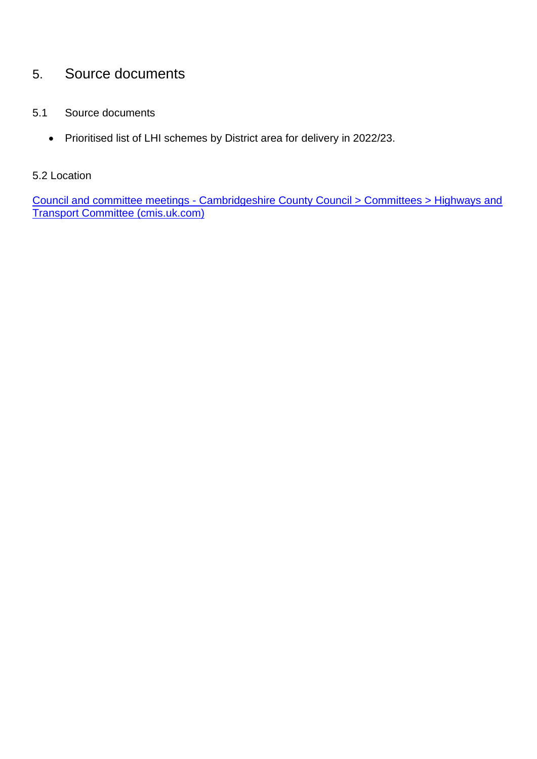# 5. Source documents

- 5.1 Source documents
	- Prioritised list of LHI schemes by District area for delivery in 2022/23.

#### 5.2 Location

Council and committee meetings - [Cambridgeshire County Council > Committees > Highways and](https://cambridgeshire.cmis.uk.com/ccc_live/Committees/tabid/62/ctl/ViewCMIS_CommitteeDetails/mid/381/id/62/Default.aspx)  [Transport Committee \(cmis.uk.com\)](https://cambridgeshire.cmis.uk.com/ccc_live/Committees/tabid/62/ctl/ViewCMIS_CommitteeDetails/mid/381/id/62/Default.aspx)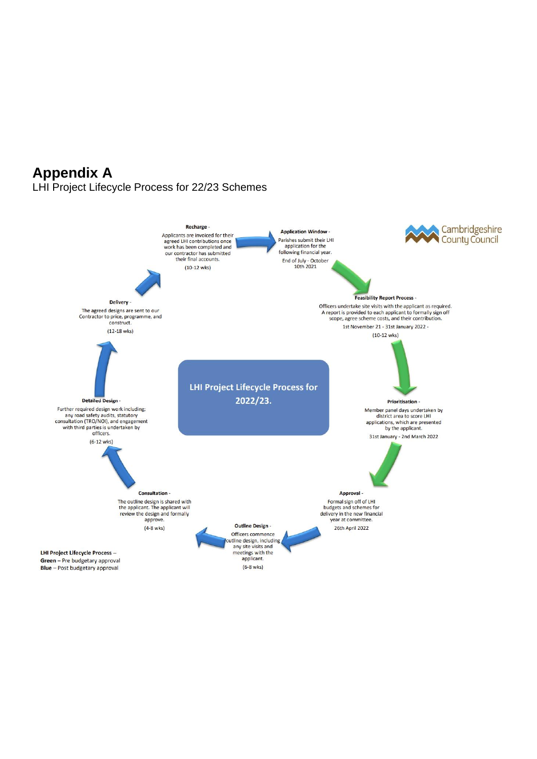# **Appendix A**

LHI Project Lifecycle Process for 22/23 Schemes